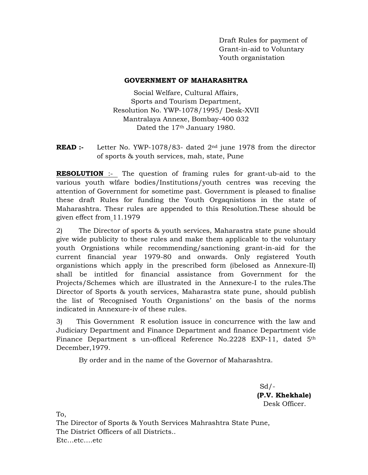Draft Rules for payment of Grant-in-aid to Voluntary Youth organistation

#### **GOVERNMENT OF MAHARASHTRA**

Social Welfare, Cultural Affairs, Sports and Tourism Department, Resolution No. YWP-1078/1995/ Desk-XVII Mantralaya Annexe, Bombay-400 032 Dated the 17<sup>th</sup> January 1980.

**READ :-** Letter No. YWP-1078/83- dated 2<sup>nd</sup> june 1978 from the director of sports & youth services, mah, state, Pune

**RESOLUTION** :- The question of framing rules for grant-ub-aid to the various youth wlfare bodies/Institutions/youth centres was receving the attention of Government for sometime past. Government is pleased to finalise these draft Rules for funding the Youth Orgaqnistions in the state of Maharashtra. Thesr rules are appended to this Resolution.These should be given effect from 11.1979

2) The Director of sports & youth services, Maharastra state pune should give wide publicity to these rules and make them applicable to the voluntary youth Orgnistions while recommending/sanctioning grant-in-aid for the current financial year 1979-80 and onwards. Only registered Youth organistions which apply in the prescribed form (ibelosed as Annexure-II) shall be intitled for financial assistance from Government for the Projects/Schemes which are illustrated in the Annexure-I to the rules.The Director of Sports & youth services, Maharastra state pune, should publish the list of 'Recognised Youth Organistions' on the basis of the norms indicated in Annexure-iv of these rules.

3) This Government R esolution issuce in concurrence with the law and Judiciary Department and Finance Department and finance Department vide Finance Department s un-officeal Reference No.2228 EXP-11, dated 5<sup>th</sup> December,1979.

By order and in the name of the Governor of Maharashtra.

 $Sd$  /-**(P.V. Khekhale)** Desk Officer.

To,

The Director of Sports & Youth Services Mahrashtra State Pune, The District Officers of all Districts.. Etc…etc….etc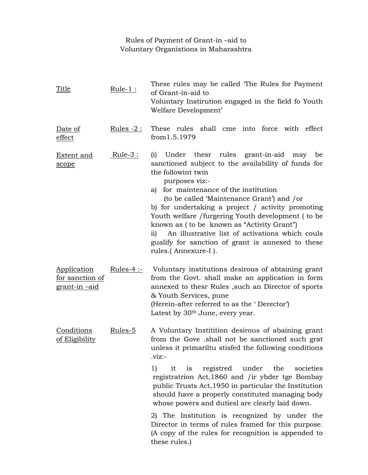# Rules of Payment of Grant-in –aid to Voluntary Organistions in Maharashtra

| Title                                                  | $Rule-1$ :          | These rules may be called The Rules for Payment<br>of Grant-in-aid to<br>Voluntary Instirution engaged in the field fo Youth<br>Welfare Development'                                                                                                                                                                                                                                                                                                                                                                                                   |
|--------------------------------------------------------|---------------------|--------------------------------------------------------------------------------------------------------------------------------------------------------------------------------------------------------------------------------------------------------------------------------------------------------------------------------------------------------------------------------------------------------------------------------------------------------------------------------------------------------------------------------------------------------|
| Date of<br>effect                                      | <u> Rules -2 : </u> | These rules shall cme into force with effect<br>from 1.5.1979                                                                                                                                                                                                                                                                                                                                                                                                                                                                                          |
| <b>Extent</b> and<br>scope                             | $Rule-3:$           | Under thesr rules grant-in-aid<br>(i)<br>may<br>be<br>sanctioned subject to the availability of funds for<br>the followint twin<br>purposes viz:-<br>for maintenance of the institution<br>a)<br>(to be called 'Maintenance Grant') and /or<br>b) for undertaking a project / activity promoting<br>Youth welfare / furgering Youth development (to be<br>known as (to be known as "Activity Grant")<br>An illustrative list of activations which couls<br>$\overline{11}$<br>gualify for sanction of grant is annexed to these<br>rules.(Annexure-I). |
| Application<br>for sanction of<br><u>grant-in –aid</u> | Rules- $4:$         | Voluntary institutions desirous of abtaining grant<br>from the Govt. shall make an application in form<br>annexed to thesr Rules, such an Director of sports<br>& Youth Services, pune<br>(Herein-after referred to as the 'Derector')<br>Latest by 30 <sup>th</sup> June, every year.                                                                                                                                                                                                                                                                 |
| Conditions<br>of Eligibility                           | Rules-5             | A Voluntary Institition desirous of abaining grant<br>from the Gove shall not be sanctioned such grat<br>unless it primariltu stisfed the following conditions<br>$viz:-$                                                                                                                                                                                                                                                                                                                                                                              |
|                                                        |                     | 1)<br>it is registred under the<br>societies<br>registratrion Act, 1860 and /ir ybder tge Bombay<br>public Trusts Act, 1950 in particular the Institution<br>should have a properly constituted managing body<br>whose powers and dutiesl are clearly laid down.                                                                                                                                                                                                                                                                                       |
|                                                        |                     | 2) The Institution is recognized by under the<br>Director in terms of rules framed for this purpose.<br>(A copy of the rules for recognition is appended to<br>these rules.)                                                                                                                                                                                                                                                                                                                                                                           |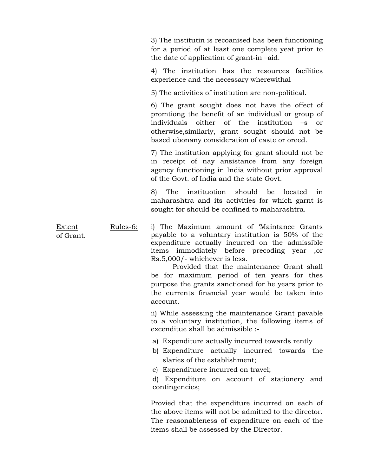3) The institutin is recoanised has been functioning for a period of at least one complete yeat prior to the date of application of grant-in –aid.

 4) The institution has the resources facilities experience and the necessary wherewithal

5) The activities of institution are non-political.

 6) The grant sought does not have the offect of promtiong the benefit of an individual or group of individuals oither of the institution –s or otherwise,similarly, grant sought should not be based ubonany consideration of caste or oreed.

 7) The institution applying for grant should not be in receipt of nay ansistance from any foreign agency functioning in India without prior approval of the Govt. of India and the state Govt.

 8) The instituotion should be located in maharashtra and its activities for which garnt is sought for should be confined to maharashtra.

Extent of Grant. Rules-6: i) The Maximum amount of 'Maintance Grants payable to a voluntary institution is 50% of the expenditure actually incurred on the admissible items immodiately before precoding year ,or Rs.5,000/- whichever is less.

> Provided that the maintenance Grant shall be for maximum period of ten years for thes purpose the grants sanctioned for he years prior to the currents financial year would be taken into account.  $\overline{a}$

> ii) While assessing the maintenance Grant pavable to a voluntary institution, the following items of excenditue shall be admissible :-

- a) Expenditure actually incurred towards rently
- b) Expenditure actually incurred towards the slaries of the establishment;
- c) Expendituere incurred on travel;

d) Expenditure on account of stationery and contingencies;

Provied that the expenditure incurred on each of the above items will not be admitted to the director. The reasonableness of expenditure on each of the items shall be assessed by the Director.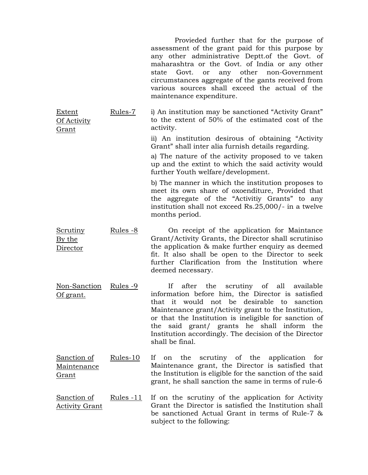|                                       |                   | Provieded further that for the purpose of<br>assessment of the grant paid for this purpose by<br>any other administrative Deptt. of the Govt. of<br>maharashtra or the Govt. of India or any other<br>any other non-Government<br>Govt. or<br>state<br>circumstances aggregate of the gants received from<br>various sources shall exceed the actual of the<br>maintenance expenditure.                         |
|---------------------------------------|-------------------|-----------------------------------------------------------------------------------------------------------------------------------------------------------------------------------------------------------------------------------------------------------------------------------------------------------------------------------------------------------------------------------------------------------------|
| Extent<br>Of Activity<br><u>Grant</u> | Rules-7           | i) An institution may be sanctioned "Activity Grant"<br>to the extent of 50% of the estimated cost of the<br>activity.                                                                                                                                                                                                                                                                                          |
|                                       |                   | ii) An institution desirous of obtaining "Activity<br>Grant" shall inter alia furnish details regarding.                                                                                                                                                                                                                                                                                                        |
|                                       |                   | a) The nature of the activity proposed to ve taken<br>up and the extint to which the said activity would<br>further Youth welfare/development.                                                                                                                                                                                                                                                                  |
|                                       |                   | b) The manner in which the institution proposes to<br>meet its own share of oxoenditure, Provided that<br>the aggregate of the "Activitiy Grants" to any<br>institution shall not exceed Rs.25,000/- in a twelve<br>months period.                                                                                                                                                                              |
| <b>Scrutiny</b><br>By the<br>Director | Rules -8          | On receipt of the application for Maintance<br>Grant/Activity Grants, the Director shall scrutiniso<br>the application & make further enquiry as deemed<br>fit. It also shall be open to the Director to seek<br>further Clarification from the Institution where<br>deemed necessary.                                                                                                                          |
| Non-Sanction<br>Of grant.             | Rules -9          | If<br>scrutiny of<br>available<br>after<br>the<br>all<br>information before him, the Director is satisfied<br>would<br>not be desirable<br>that it<br>to<br>sanction<br>Maintenance grant/Activity grant to the Institution,<br>or that the Institution is ineligible for sanction of<br>the said grant/ grants he shall inform the<br>Institution accordingly. The decision of the Director<br>shall be final. |
| Sanction of<br>Maintenance<br>Grant   | Rules-10          | scrutiny of the application<br>If If<br>the<br>for<br>on<br>Maintenance grant, the Director is satisfied that<br>the Institution is eligible for the sanction of the said<br>grant, he shall sanction the same in terms of rule-6                                                                                                                                                                               |
| Sanction of<br><b>Activity Grant</b>  | <u> Rules -11</u> | If on the scrutiny of the application for Activity<br>Grant the Director is satisfied the Institution shall<br>be sanctioned Actual Grant in terms of Rule-7 &<br>subject to the following:                                                                                                                                                                                                                     |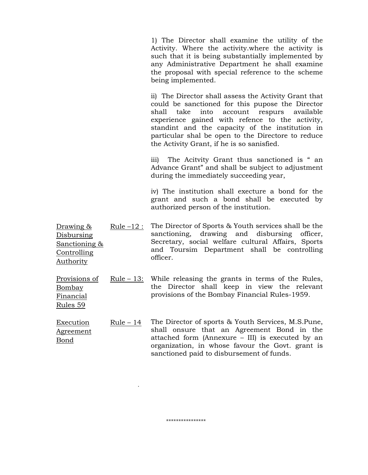1) The Director shall examine the utility of the Activity. Where the activity.where the activity is such that it is being substantially implemented by any Administrative Department he shall examine the proposal with special reference to the scheme being implemented.

 ii) The Director shall assess the Activity Grant that could be sanctioned for this pupose the Director shall take into account respurs available experience gained with refence to the activity, standint and the capacity of the institution in particular shal be open to the Directore to reduce the Activity Grant, if he is so sanisfied.

 iii) The Acitvity Grant thus sanctioned is " an Advance Grant" and shall be subject to adjustment during the immediately succeeding year,

iv) The institution shall execture a bond for the grant and such a bond shall be executed by authorized person of the institution.

- Drawing & Disbursing Sanctioning & Controlling Authority Rule –12 : The Director of Sports & Youth services shall be the sanctioning, drawing and disbursing officer, Secretary, social welfare cultural Affairs, Sports and Toursim Department shall be controlling officer.
- Provisions of Bombay Financial  $Rule - 13$ : While releasing the grants in terms of the Rules, the Director shall keep in view the relevant provisions of the Bombay Financial Rules-1959.

Rules 59

Execution Agreement Bond Rule – 14 The Director of sports & Youth Services, M.S.Pune, shall onsure that an Agreement Bond in the attached form (Annexure – III) is executed by an organization, in whose favour the Govt. grant is sanctioned paid to disbursement of funds.

\*\*\*\*\*\*\*\*\*\*\*\*\*\*\*\*

.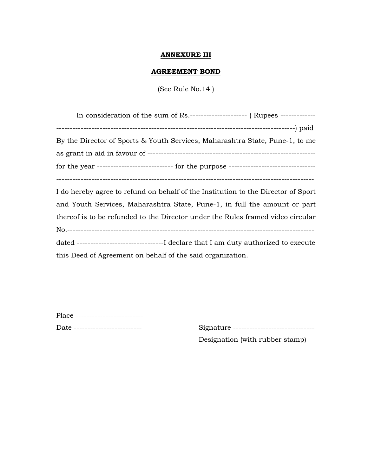### **ANNEXURE III**

#### **AGREEMENT BOND**

(See Rule No.14 )

| In consideration of the sum of Rs.------------------------ (Rupees -------------- |
|-----------------------------------------------------------------------------------|
|                                                                                   |
| By the Director of Sports & Youth Services, Maharashtra State, Pune-1, to me      |
|                                                                                   |
|                                                                                   |
|                                                                                   |
| I do hereby agree to refund on behalf of the Institution to the Director of Sport |

and Youth Services, Maharashtra State, Pune-1, in full the amount or part thereof is to be refunded to the Director under the Rules framed video circular No.------------------------------------------------------------------------------------------ dated --------------------------------I declare that I am duty authorized to execute this Deed of Agreement on behalf of the said organization.

Place --------------------------

Date ------------------------- Signature ------------------------------

Designation (with rubber stamp)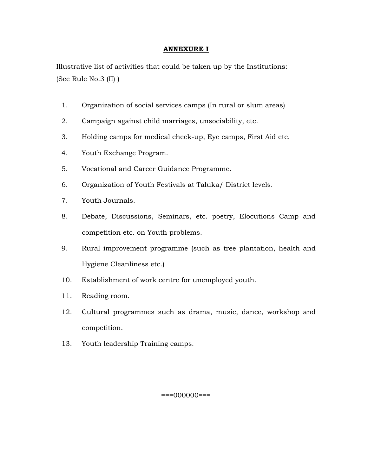## **ANNEXURE I**

Illustrative list of activities that could be taken up by the Institutions: (See Rule No.3 (II) )

- 1. Organization of social services camps (In rural or slum areas)
- 2. Campaign against child marriages, unsociability, etc.
- 3. Holding camps for medical check-up, Eye camps, First Aid etc.
- 4. Youth Exchange Program.
- 5. Vocational and Career Guidance Programme.
- 6. Organization of Youth Festivals at Taluka/ District levels.
- 7. Youth Journals.
- 8. Debate, Discussions, Seminars, etc. poetry, Elocutions Camp and competition etc. on Youth problems.
- 9. Rural improvement programme (such as tree plantation, health and Hygiene Cleanliness etc.)
- 10. Establishment of work centre for unemployed youth.
- 11. Reading room.
- 12. Cultural programmes such as drama, music, dance, workshop and competition.
- 13. Youth leadership Training camps.

===000000===